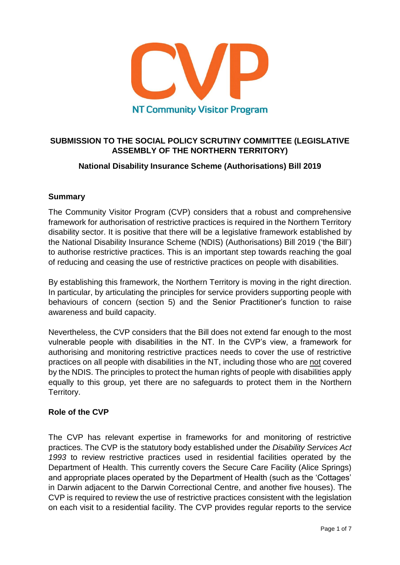

# **SUBMISSION TO THE SOCIAL POLICY SCRUTINY COMMITTEE (LEGISLATIVE ASSEMBLY OF THE NORTHERN TERRITORY)**

# **National Disability Insurance Scheme (Authorisations) Bill 2019**

# **Summary**

The Community Visitor Program (CVP) considers that a robust and comprehensive framework for authorisation of restrictive practices is required in the Northern Territory disability sector. It is positive that there will be a legislative framework established by the National Disability Insurance Scheme (NDIS) (Authorisations) Bill 2019 ('the Bill') to authorise restrictive practices. This is an important step towards reaching the goal of reducing and ceasing the use of restrictive practices on people with disabilities.

By establishing this framework, the Northern Territory is moving in the right direction. In particular, by articulating the principles for service providers supporting people with behaviours of concern (section 5) and the Senior Practitioner's function to raise awareness and build capacity.

Nevertheless, the CVP considers that the Bill does not extend far enough to the most vulnerable people with disabilities in the NT. In the CVP's view, a framework for authorising and monitoring restrictive practices needs to cover the use of restrictive practices on all people with disabilities in the NT, including those who are not covered by the NDIS. The principles to protect the human rights of people with disabilities apply equally to this group, yet there are no safeguards to protect them in the Northern Territory.

#### **Role of the CVP**

The CVP has relevant expertise in frameworks for and monitoring of restrictive practices. The CVP is the statutory body established under the *Disability Services Act 1993* to review restrictive practices used in residential facilities operated by the Department of Health. This currently covers the Secure Care Facility (Alice Springs) and appropriate places operated by the Department of Health (such as the 'Cottages' in Darwin adjacent to the Darwin Correctional Centre, and another five houses). The CVP is required to review the use of restrictive practices consistent with the legislation on each visit to a residential facility. The CVP provides regular reports to the service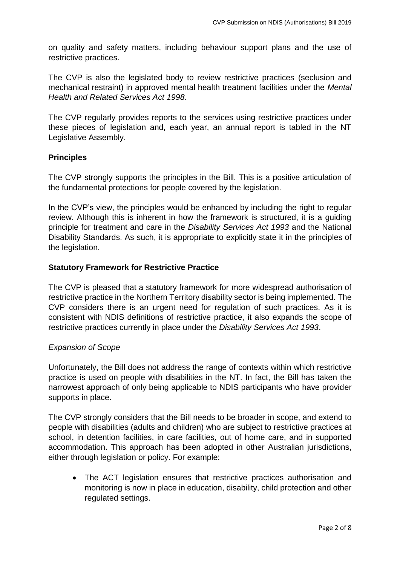on quality and safety matters, including behaviour support plans and the use of restrictive practices.

The CVP is also the legislated body to review restrictive practices (seclusion and mechanical restraint) in approved mental health treatment facilities under the *Mental Health and Related Services Act 1998*.

The CVP regularly provides reports to the services using restrictive practices under these pieces of legislation and, each year, an annual report is tabled in the NT Legislative Assembly.

# **Principles**

The CVP strongly supports the principles in the Bill. This is a positive articulation of the fundamental protections for people covered by the legislation.

In the CVP's view, the principles would be enhanced by including the right to regular review. Although this is inherent in how the framework is structured, it is a guiding principle for treatment and care in the *Disability Services Act 1993* and the National Disability Standards. As such, it is appropriate to explicitly state it in the principles of the legislation.

# **Statutory Framework for Restrictive Practice**

The CVP is pleased that a statutory framework for more widespread authorisation of restrictive practice in the Northern Territory disability sector is being implemented. The CVP considers there is an urgent need for regulation of such practices. As it is consistent with NDIS definitions of restrictive practice, it also expands the scope of restrictive practices currently in place under the *Disability Services Act 1993*.

#### *Expansion of Scope*

Unfortunately, the Bill does not address the range of contexts within which restrictive practice is used on people with disabilities in the NT. In fact, the Bill has taken the narrowest approach of only being applicable to NDIS participants who have provider supports in place.

The CVP strongly considers that the Bill needs to be broader in scope, and extend to people with disabilities (adults and children) who are subject to restrictive practices at school, in detention facilities, in care facilities, out of home care, and in supported accommodation. This approach has been adopted in other Australian jurisdictions, either through legislation or policy. For example:

 The ACT legislation ensures that restrictive practices authorisation and monitoring is now in place in education, disability, child protection and other regulated settings.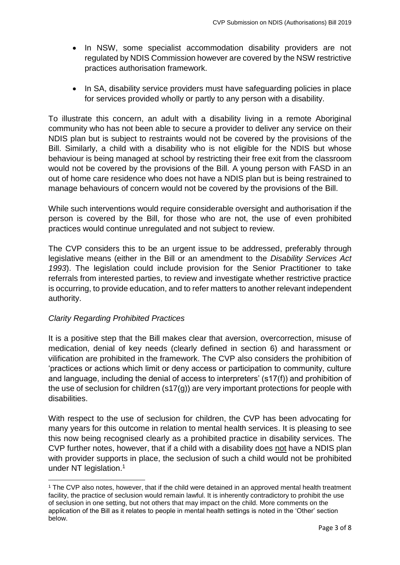- In NSW, some specialist accommodation disability providers are not regulated by NDIS Commission however are covered by the NSW restrictive practices authorisation framework.
- In SA, disability service providers must have safeguarding policies in place for services provided wholly or partly to any person with a disability.

To illustrate this concern, an adult with a disability living in a remote Aboriginal community who has not been able to secure a provider to deliver any service on their NDIS plan but is subject to restraints would not be covered by the provisions of the Bill. Similarly, a child with a disability who is not eligible for the NDIS but whose behaviour is being managed at school by restricting their free exit from the classroom would not be covered by the provisions of the Bill. A young person with FASD in an out of home care residence who does not have a NDIS plan but is being restrained to manage behaviours of concern would not be covered by the provisions of the Bill.

While such interventions would require considerable oversight and authorisation if the person is covered by the Bill, for those who are not, the use of even prohibited practices would continue unregulated and not subject to review.

The CVP considers this to be an urgent issue to be addressed, preferably through legislative means (either in the Bill or an amendment to the *Disability Services Act 1993*). The legislation could include provision for the Senior Practitioner to take referrals from interested parties, to review and investigate whether restrictive practice is occurring, to provide education, and to refer matters to another relevant independent authority.

# *Clarity Regarding Prohibited Practices*

**.** 

It is a positive step that the Bill makes clear that aversion, overcorrection, misuse of medication, denial of key needs (clearly defined in section 6) and harassment or vilification are prohibited in the framework. The CVP also considers the prohibition of 'practices or actions which limit or deny access or participation to community, culture and language, including the denial of access to interpreters' (s17(f)) and prohibition of the use of seclusion for children (s17(g)) are very important protections for people with disabilities.

With respect to the use of seclusion for children, the CVP has been advocating for many years for this outcome in relation to mental health services. It is pleasing to see this now being recognised clearly as a prohibited practice in disability services. The CVP further notes, however, that if a child with a disability does not have a NDIS plan with provider supports in place, the seclusion of such a child would not be prohibited under NT legislation.<sup>1</sup>

<sup>1</sup> The CVP also notes, however, that if the child were detained in an approved mental health treatment facility, the practice of seclusion would remain lawful. It is inherently contradictory to prohibit the use of seclusion in one setting, but not others that may impact on the child. More comments on the application of the Bill as it relates to people in mental health settings is noted in the 'Other' section below.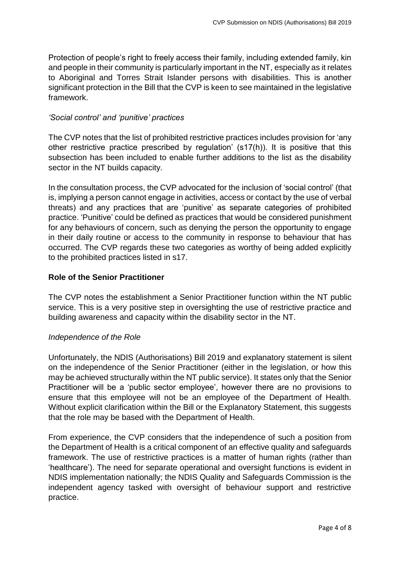Protection of people's right to freely access their family, including extended family, kin and people in their community is particularly important in the NT, especially as it relates to Aboriginal and Torres Strait Islander persons with disabilities. This is another significant protection in the Bill that the CVP is keen to see maintained in the legislative framework.

#### *'Social control' and 'punitive' practices*

The CVP notes that the list of prohibited restrictive practices includes provision for 'any other restrictive practice prescribed by regulation' (s17(h)). It is positive that this subsection has been included to enable further additions to the list as the disability sector in the NT builds capacity.

In the consultation process, the CVP advocated for the inclusion of 'social control' (that is, implying a person cannot engage in activities, access or contact by the use of verbal threats) and any practices that are 'punitive' as separate categories of prohibited practice. 'Punitive' could be defined as practices that would be considered punishment for any behaviours of concern, such as denying the person the opportunity to engage in their daily routine or access to the community in response to behaviour that has occurred. The CVP regards these two categories as worthy of being added explicitly to the prohibited practices listed in s17.

#### **Role of the Senior Practitioner**

The CVP notes the establishment a Senior Practitioner function within the NT public service. This is a very positive step in oversighting the use of restrictive practice and building awareness and capacity within the disability sector in the NT.

#### *Independence of the Role*

Unfortunately, the NDIS (Authorisations) Bill 2019 and explanatory statement is silent on the independence of the Senior Practitioner (either in the legislation, or how this may be achieved structurally within the NT public service). It states only that the Senior Practitioner will be a 'public sector employee', however there are no provisions to ensure that this employee will not be an employee of the Department of Health. Without explicit clarification within the Bill or the Explanatory Statement, this suggests that the role may be based with the Department of Health.

From experience, the CVP considers that the independence of such a position from the Department of Health is a critical component of an effective quality and safeguards framework. The use of restrictive practices is a matter of human rights (rather than 'healthcare'). The need for separate operational and oversight functions is evident in NDIS implementation nationally; the NDIS Quality and Safeguards Commission is the independent agency tasked with oversight of behaviour support and restrictive practice.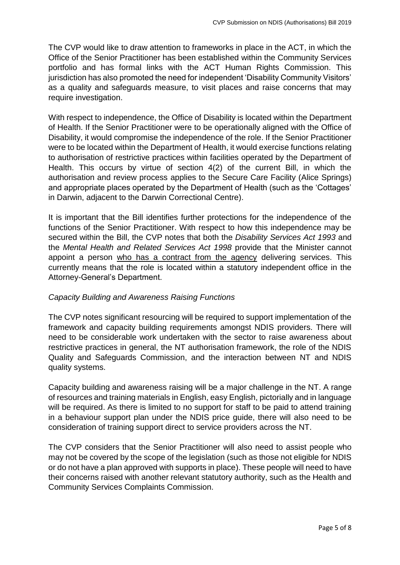The CVP would like to draw attention to frameworks in place in the ACT, in which the Office of the Senior Practitioner has been established within the Community Services portfolio and has formal links with the ACT Human Rights Commission. This jurisdiction has also promoted the need for independent 'Disability Community Visitors' as a quality and safeguards measure, to visit places and raise concerns that may require investigation.

With respect to independence, the Office of Disability is located within the Department of Health. If the Senior Practitioner were to be operationally aligned with the Office of Disability, it would compromise the independence of the role. If the Senior Practitioner were to be located within the Department of Health, it would exercise functions relating to authorisation of restrictive practices within facilities operated by the Department of Health. This occurs by virtue of section 4(2) of the current Bill, in which the authorisation and review process applies to the Secure Care Facility (Alice Springs) and appropriate places operated by the Department of Health (such as the 'Cottages' in Darwin, adjacent to the Darwin Correctional Centre).

It is important that the Bill identifies further protections for the independence of the functions of the Senior Practitioner. With respect to how this independence may be secured within the Bill, the CVP notes that both the *Disability Services Act 1993* and the *Mental Health and Related Services Act 1998* provide that the Minister cannot appoint a person who has a contract from the agency delivering services. This currently means that the role is located within a statutory independent office in the Attorney-General's Department.

#### *Capacity Building and Awareness Raising Functions*

The CVP notes significant resourcing will be required to support implementation of the framework and capacity building requirements amongst NDIS providers. There will need to be considerable work undertaken with the sector to raise awareness about restrictive practices in general, the NT authorisation framework, the role of the NDIS Quality and Safeguards Commission, and the interaction between NT and NDIS quality systems.

Capacity building and awareness raising will be a major challenge in the NT. A range of resources and training materials in English, easy English, pictorially and in language will be required. As there is limited to no support for staff to be paid to attend training in a behaviour support plan under the NDIS price guide, there will also need to be consideration of training support direct to service providers across the NT.

The CVP considers that the Senior Practitioner will also need to assist people who may not be covered by the scope of the legislation (such as those not eligible for NDIS or do not have a plan approved with supports in place). These people will need to have their concerns raised with another relevant statutory authority, such as the Health and Community Services Complaints Commission.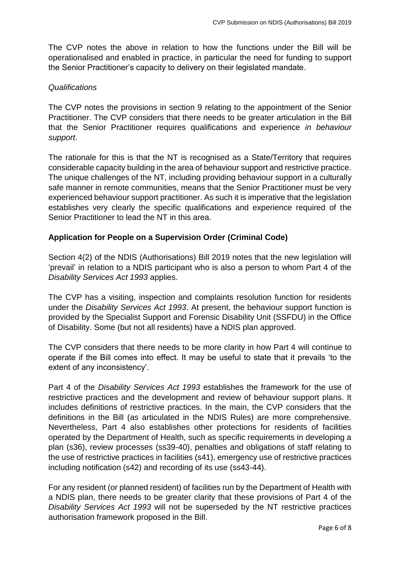The CVP notes the above in relation to how the functions under the Bill will be operationalised and enabled in practice, in particular the need for funding to support the Senior Practitioner's capacity to delivery on their legislated mandate.

#### *Qualifications*

The CVP notes the provisions in section 9 relating to the appointment of the Senior Practitioner. The CVP considers that there needs to be greater articulation in the Bill that the Senior Practitioner requires qualifications and experience *in behaviour support*.

The rationale for this is that the NT is recognised as a State/Territory that requires considerable capacity building in the area of behaviour support and restrictive practice. The unique challenges of the NT, including providing behaviour support in a culturally safe manner in remote communities, means that the Senior Practitioner must be very experienced behaviour support practitioner. As such it is imperative that the legislation establishes very clearly the specific qualifications and experience required of the Senior Practitioner to lead the NT in this area.

# **Application for People on a Supervision Order (Criminal Code)**

Section 4(2) of the NDIS (Authorisations) Bill 2019 notes that the new legislation will 'prevail' in relation to a NDIS participant who is also a person to whom Part 4 of the *Disability Services Act 1993* applies.

The CVP has a visiting, inspection and complaints resolution function for residents under the *Disability Services Act 1993*. At present, the behaviour support function is provided by the Specialist Support and Forensic Disability Unit (SSFDU) in the Office of Disability. Some (but not all residents) have a NDIS plan approved.

The CVP considers that there needs to be more clarity in how Part 4 will continue to operate if the Bill comes into effect. It may be useful to state that it prevails 'to the extent of any inconsistency'.

Part 4 of the *Disability Services Act 1993* establishes the framework for the use of restrictive practices and the development and review of behaviour support plans. It includes definitions of restrictive practices. In the main, the CVP considers that the definitions in the Bill (as articulated in the NDIS Rules) are more comprehensive. Nevertheless, Part 4 also establishes other protections for residents of facilities operated by the Department of Health, such as specific requirements in developing a plan (s36), review processes (ss39-40), penalties and obligations of staff relating to the use of restrictive practices in facilities (s41), emergency use of restrictive practices including notification (s42) and recording of its use (ss43-44).

For any resident (or planned resident) of facilities run by the Department of Health with a NDIS plan, there needs to be greater clarity that these provisions of Part 4 of the *Disability Services Act 1993* will not be superseded by the NT restrictive practices authorisation framework proposed in the Bill.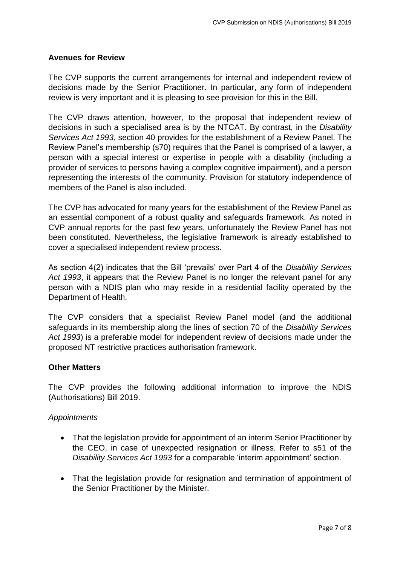### **Avenues for Review**

The CVP supports the current arrangements for internal and independent review of decisions made by the Senior Practitioner. In particular, any form of independent review is very important and it is pleasing to see provision for this in the Bill.

The CVP draws attention, however, to the proposal that independent review of decisions in such a specialised area is by the NTCAT. By contrast, in the *Disability Services Act 1993*, section 40 provides for the establishment of a Review Panel. The Review Panel's membership (s70) requires that the Panel is comprised of a lawyer, a person with a special interest or expertise in people with a disability (including a provider of services to persons having a complex cognitive impairment), and a person representing the interests of the community. Provision for statutory independence of members of the Panel is also included.

The CVP has advocated for many years for the establishment of the Review Panel as an essential component of a robust quality and safeguards framework. As noted in CVP annual reports for the past few years, unfortunately the Review Panel has not been constituted. Nevertheless, the legislative framework is already established to cover a specialised independent review process.

As section 4(2) indicates that the Bill 'prevails' over Part 4 of the *Disability Services Act 1993*, it appears that the Review Panel is no longer the relevant panel for any person with a NDIS plan who may reside in a residential facility operated by the Department of Health.

The CVP considers that a specialist Review Panel model (and the additional safeguards in its membership along the lines of section 70 of the *Disability Services Act 1993*) is a preferable model for independent review of decisions made under the proposed NT restrictive practices authorisation framework.

#### **Other Matters**

The CVP provides the following additional information to improve the NDIS (Authorisations) Bill 2019.

#### *Appointments*

- That the legislation provide for appointment of an interim Senior Practitioner by the CEO, in case of unexpected resignation or illness. Refer to s51 of the *Disability Services Act 1993* for a comparable 'interim appointment' section.
- That the legislation provide for resignation and termination of appointment of the Senior Practitioner by the Minister.